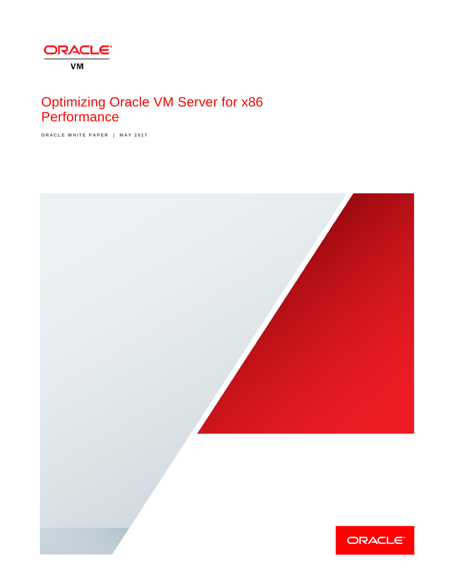

# Optimizing Oracle VM Server for x86 **Performance**

**O R A C L E W H I T E P A P E R | M A Y 2 0 1 7**

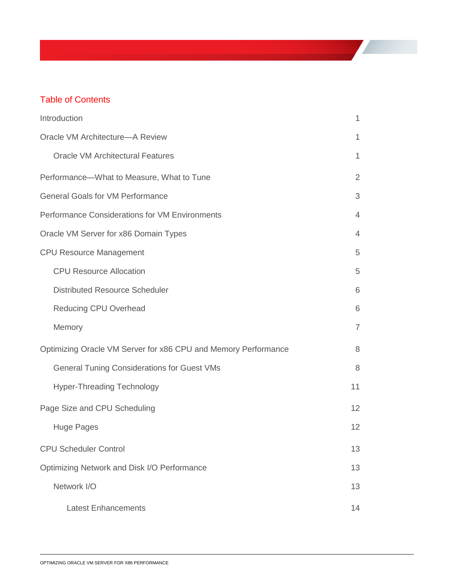# Table of Contents

| Introduction                                                   | 1              |
|----------------------------------------------------------------|----------------|
| Oracle VM Architecture-A Review                                | 1              |
| <b>Oracle VM Architectural Features</b>                        | 1              |
| Performance-What to Measure, What to Tune                      | $\overline{2}$ |
| <b>General Goals for VM Performance</b>                        | 3              |
| Performance Considerations for VM Environments                 | $\overline{4}$ |
| Oracle VM Server for x86 Domain Types                          | $\overline{4}$ |
| <b>CPU Resource Management</b>                                 | 5              |
| <b>CPU Resource Allocation</b>                                 | 5              |
| <b>Distributed Resource Scheduler</b>                          | 6              |
| <b>Reducing CPU Overhead</b>                                   | 6              |
| Memory                                                         | $\overline{7}$ |
| Optimizing Oracle VM Server for x86 CPU and Memory Performance | 8              |
| <b>General Tuning Considerations for Guest VMs</b>             | 8              |
| <b>Hyper-Threading Technology</b>                              | 11             |
| Page Size and CPU Scheduling                                   | 12             |
| Huge Pages                                                     | 12             |
| <b>CPU Scheduler Control</b>                                   | 13             |
| Optimizing Network and Disk I/O Performance                    | 13             |
| Network I/O                                                    | 13             |
| <b>Latest Enhancements</b>                                     | 14             |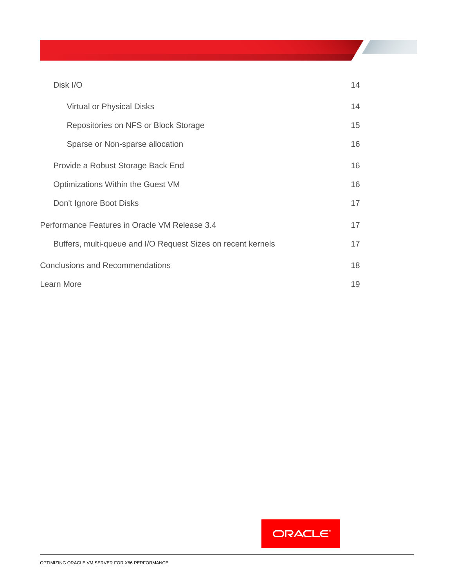### [Disk I/O](#page-16-1) 14

| <b>Virtual or Physical Disks</b>                             | 14 |
|--------------------------------------------------------------|----|
| Repositories on NFS or Block Storage                         | 15 |
| Sparse or Non-sparse allocation                              | 16 |
| Provide a Robust Storage Back End                            | 16 |
| Optimizations Within the Guest VM                            | 16 |
| Don't Ignore Boot Disks                                      | 17 |
| Performance Features in Oracle VM Release 3.4                | 17 |
| Buffers, multi-queue and I/O Request Sizes on recent kernels | 17 |
| <b>Conclusions and Recommendations</b>                       | 18 |
| Learn More                                                   | 19 |

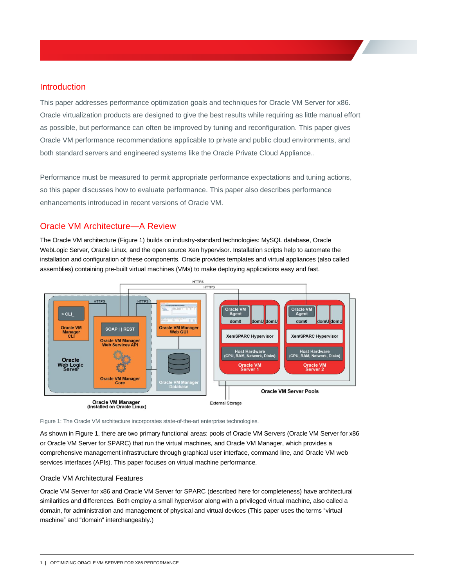### <span id="page-3-0"></span>Introduction

This paper addresses performance optimization goals and techniques for Oracle VM Server for x86. Oracle virtualization products are designed to give the best results while requiring as little manual effort as possible, but performance can often be improved by tuning and reconfiguration. This paper gives Oracle VM performance recommendations applicable to private and public cloud environments, and both standard servers and engineered systems like the Oracle Private Cloud Appliance..

Performance must be measured to permit appropriate performance expectations and tuning actions, so this paper discusses how to evaluate performance. This paper also describes performance enhancements introduced in recent versions of Oracle VM.

# <span id="page-3-1"></span>Oracle VM Architecture—A Review

The Oracle VM architecture (Figure 1) builds on industry-standard technologies: MySQL database, Oracle WebLogic Server, Oracle Linux, and the open source Xen hypervisor. Installation scripts help to automate the installation and configuration of these components. Oracle provides templates and virtual appliances (also called assemblies) containing pre-built virtual machines (VMs) to make deploying applications easy and fast.



Figure 1: The Oracle VM architecture incorporates state-of-the-art enterprise technologies.

As shown in Figure 1, there are two primary functional areas: pools of Oracle VM Servers (Oracle VM Server for x86 or Oracle VM Server for SPARC) that run the virtual machines, and Oracle VM Manager, which provides a comprehensive management infrastructure through graphical user interface, command line, and Oracle VM web services interfaces (APIs). This paper focuses on virtual machine performance.

#### <span id="page-3-2"></span>Oracle VM Architectural Features

Oracle VM Server for x86 and Oracle VM Server for SPARC (described here for completeness) have architectural similarities and differences. Both employ a small hypervisor along with a privileged virtual machine, also called a domain, for administration and management of physical and virtual devices (This paper uses the terms "virtual machine" and "domain" interchangeably.)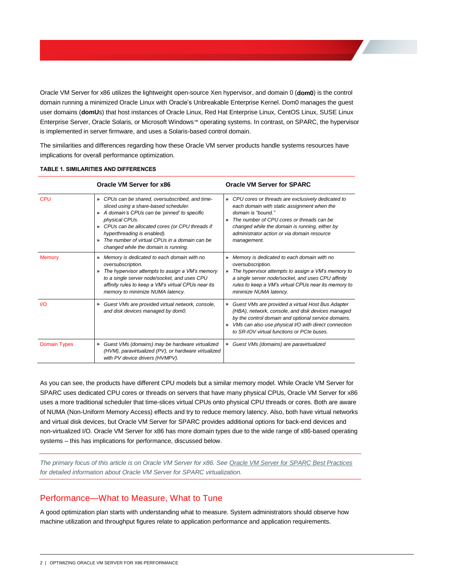Oracle VM Server for x86 utilizes the lightweight open-source Xen hypervisor, and domain 0 (**dom0**) is the control domain running a minimized Oracle Linux with Oracle's Unbreakable Enterprise Kernel. Dom0 manages the guest user domains (**domU**s) that host instances of Oracle Linux, Red Hat Enterprise Linux, CentOS Linux, SUSE Linux Enterprise Server, Oracle Solaris, or Microsoft Windows™ operating systems. In contrast, on SPARC, the hypervisor is implemented in server firmware, and uses a Solaris-based control domain.

The similarities and differences regarding how these Oracle VM server products handle systems resources have implications for overall performance optimization.

|                     | Oracle VM Server for x86                                                                                                                                                                                                                                                                                                                                                                 | <b>Oracle VM Server for SPARC</b>                                                                                                                                                                                                                                                                                           |
|---------------------|------------------------------------------------------------------------------------------------------------------------------------------------------------------------------------------------------------------------------------------------------------------------------------------------------------------------------------------------------------------------------------------|-----------------------------------------------------------------------------------------------------------------------------------------------------------------------------------------------------------------------------------------------------------------------------------------------------------------------------|
| CPU                 | CPUs can be shared, oversubscribed, and time-<br>$\rightarrow$<br>sliced using a share-based scheduler.<br>A domain's CPUs can be 'pinned' to specific<br>≫<br>physical CPUs.<br>CPUs can be allocated cores (or CPU threads if<br>$\rightarrow$<br>hyperthreading is enabled).<br>The number of virtual CPUs in a domain can be<br>$\mathbf{v}$<br>changed while the domain is running. | CPU cores or threads are exclusively dedicated to<br>$\boldsymbol{v}$<br>each domain with static assignment when the<br>domain is "bound."<br>The number of CPU cores or threads can be<br>$\boldsymbol{v}$<br>changed while the domain is running, either by<br>administrator action or via domain resource<br>management. |
| <b>Memory</b>       | Memory is dedicated to each domain with no<br>$\gamma$<br>oversubscription.<br>The hypervisor attempts to assign a VM's memory<br>$\gamma$<br>to a single server node/socket, and uses CPU<br>affinity rules to keep a VM's virtual CPUs near its<br>memory to minimize NUMA latency.                                                                                                    | Memory is dedicated to each domain with no<br>»<br>oversubscription.<br>The hypervisor attempts to assign a VM's memory to<br>»<br>a single server node/socket, and uses CPU affinity<br>rules to keep a VM's virtual CPUs near its memory to<br>minimize NUMA latency.                                                     |
| V <sub>O</sub>      | Guest VMs are provided virtual network, console,<br>»<br>and disk devices managed by dom0.                                                                                                                                                                                                                                                                                               | Guest VMs are provided a virtual Host Bus Adapter<br>»<br>(HBA), network, console, and disk devices managed<br>by the control domain and optional service domains.<br>VMs can also use physical I/O with direct connection<br>»<br>to SR-IOV virtual functions or PCIe buses.                                               |
| <b>Domain Types</b> | Guest VMs (domains) may be hardware virtualized<br>»<br>(HVM), paravirtualized (PV), or hardware virtualized<br>with PV device drivers (HVMPV).                                                                                                                                                                                                                                          | Guest VMs (domains) are paravirtualized<br>»                                                                                                                                                                                                                                                                                |

#### **TABLE 1. SIMILARITIES AND DIFFERENCES**

As you can see, the products have different CPU models but a similar memory model. While Oracle VM Server for SPARC uses dedicated CPU cores or threads on servers that have many physical CPUs, Oracle VM Server for x86 uses a more traditional scheduler that time-slices virtual CPUs onto physical CPU threads or cores. Both are aware of NUMA (Non-Uniform Memory Access) effects and try to reduce memory latency. Also, both have virtual networks and virtual disk devices, but Oracle VM Server for SPARC provides additional options for back-end devices and non-virtualized I/O. Oracle VM Server for x86 has more domain types due to the wide range of x86-based operating systems – this has implications for performance, discussed below.

*The primary focus of this article is on Oracle VM Server for x86. See [Oracle VM Server for SPARC Best Practices](http://www.oracle.com/technetwork/server-storage/vm/ovmsparc-best-practices-2334546.pdf) for detailed information about Oracle VM Server for SPARC virtualization.*

### <span id="page-4-0"></span>Performance—What to Measure, What to Tune

A good optimization plan starts with understanding what to measure. System administrators should observe how machine utilization and throughput figures relate to application performance and application requirements.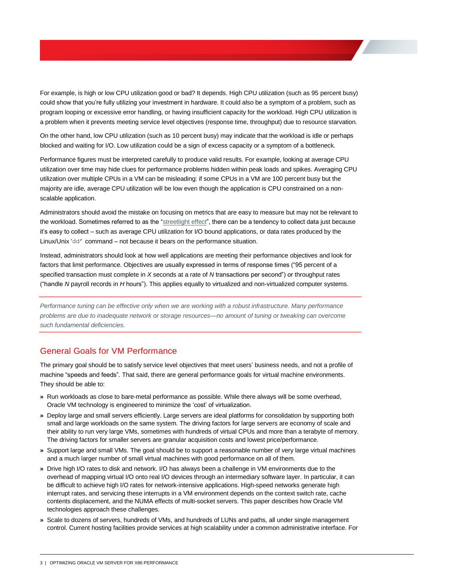For example, is high or low CPU utilization good or bad? It depends. High CPU utilization (such as 95 percent busy) could show that you're fully utilizing your investment in hardware. It could also be a symptom of a problem, such as program looping or excessive error handling, or having insufficient capacity for the workload. High CPU utilization is a problem when it prevents meeting service level objectives (response time, throughput) due to resource starvation.

On the other hand, low CPU utilization (such as 10 percent busy) may indicate that the workload is idle or perhaps blocked and waiting for I/O. Low utilization could be a sign of excess capacity or a symptom of a bottleneck.

Performance figures must be interpreted carefully to produce valid results. For example, looking at average CPU utilization over time may hide clues for performance problems hidden within peak loads and spikes. Averaging CPU utilization over multiple CPUs in a VM can be misleading: if some CPUs in a VM are 100 percent busy but the majority are idle, average CPU utilization will be low even though the application is CPU constrained on a nonscalable application.

Administrators should avoid the mistake on focusing on metrics that are easy to measure but may not be relevant to the workload. Sometimes referred to as the ["streetlight effect"](https://en.wikipedia.org/wiki/Streetlight_effect), there can be a tendency to collect data just because it's easy to collect – such as average CPU utilization for I/O bound applications, or data rates produced by the Linux/Unix 'dd' command – not because it bears on the performance situation.

Instead, administrators should look at how well applications are meeting their performance objectives and look for factors that limit performance. Objectives are usually expressed in terms of response times ("95 percent of a specified transaction must complete in *X* seconds at a rate of *N* transactions per second") or throughput rates ("handle *N* payroll records in *H* hours"). This applies equally to virtualized and non-virtualized computer systems.

*Performance tuning can be effective only when we are working with a robust infrastructure. Many performance problems are due to inadequate network or storage resources—no amount of tuning or tweaking can overcome such fundamental deficiencies.*

# <span id="page-5-0"></span>General Goals for VM Performance

The primary goal should be to satisfy service level objectives that meet users' business needs, and not a profile of machine "speeds and feeds". That said, there are general performance goals for virtual machine environments. They should be able to:

- **»** Run workloads as close to bare-metal performance as possible. While there always will be some overhead, Oracle VM technology is engineered to minimize the 'cost' of virtualization.
- **»** Deploy large and small servers efficiently. Large servers are ideal platforms for consolidation by supporting both small and large workloads on the same system. The driving factors for large servers are economy of scale and their ability to run very large VMs, sometimes with hundreds of virtual CPUs and more than a terabyte of memory. The driving factors for smaller servers are granular acquisition costs and lowest price/performance.
- **»** Support large and small VMs. The goal should be to support a reasonable number of very large virtual machines and a much larger number of small virtual machines with good performance on all of them.
- **»** Drive high I/O rates to disk and network. I/O has always been a challenge in VM environments due to the overhead of mapping virtual I/O onto real I/O devices through an intermediary software layer. In particular, it can be difficult to achieve high I/O rates for network-intensive applications. High-speed networks generate high interrupt rates, and servicing these interrupts in a VM environment depends on the context switch rate, cache contents displacement, and the NUMA effects of multi-socket servers. This paper describes how Oracle VM technologies approach these challenges.
- **»** Scale to dozens of servers, hundreds of VMs, and hundreds of LUNs and paths, all under single management control. Current hosting facilities provide services at high scalability under a common administrative interface. For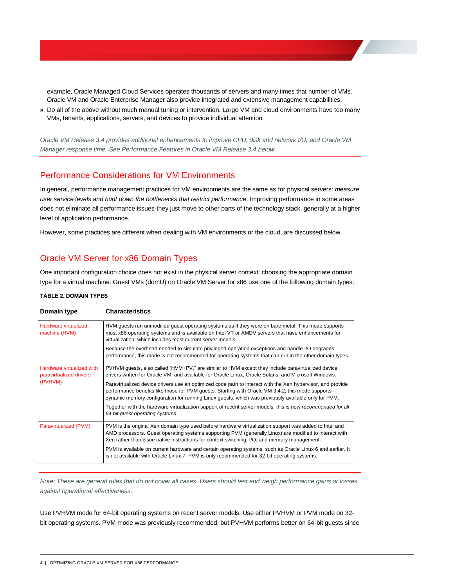example, Oracle Managed Cloud Services operates thousands of servers and many times that number of VMs. Oracle VM and Oracle Enterprise Manager also provide integrated and extensive management capabilities.

**»** Do all of the above without much manual tuning or intervention. Large VM and cloud environments have too many VMs, tenants, applications, servers, and devices to provide individual attention.

*Oracle VM Release 3.4 provides additional enhancements to improve CPU, disk and network I/O, and Oracle VM Manager response time. See [Performance Features in Oracle VM Release 3.4](#page-19-1) below.*

### <span id="page-6-0"></span>Performance Considerations for VM Environments

In general, performance management practices for VM environments are the same as for physical servers: *measure user service levels and hunt down the bottlenecks that restrict performance*. Improving performance in some areas does not eliminate all performance issues-they just move to other parts of the technology stack, generally at a higher level of application performance.

However, some practices are different when dealing with VM environments or the cloud, are discussed below.

# <span id="page-6-1"></span>Oracle VM Server for x86 Domain Types

One important configuration choice does not exist in the physical server context: choosing the appropriate domain type for a virtual machine. Guest VMs (domU) on Oracle VM Server for x86 use one of the following domain types:

|  | <b>TABLE 2. DOMAIN TYPES</b> |  |
|--|------------------------------|--|
|  |                              |  |

| Domain type                                                     | <b>Characteristics</b>                                                                                                                                                                                                                                                                                                 |  |  |  |
|-----------------------------------------------------------------|------------------------------------------------------------------------------------------------------------------------------------------------------------------------------------------------------------------------------------------------------------------------------------------------------------------------|--|--|--|
| Hardware virtualized<br>machine (HVM)                           | HVM guests run unmodified guest operating systems as if they were on bare metal. This mode supports<br>most x86 operating systems and is available on Intel VT or AMDV servers that have enhancements for<br>virtualization, which includes most current server models.                                                |  |  |  |
|                                                                 | Because the overhead needed to simulate privileged operation exceptions and handle I/O degrades<br>performance, this mode is not recommended for operating systems that can run in the other domain types.                                                                                                             |  |  |  |
| Hardware virtualized with<br>paravirtualized drivers<br>(PVHVM) | PVHVM quests, also called "HVM+PV," are similar to HVM except they include paravirtualized device<br>drivers written for Oracle VM, and available for Oracle Linux, Oracle Solaris, and Microsoft Windows.                                                                                                             |  |  |  |
|                                                                 | Paravirtualized device drivers use an optimized code path to interact with the Xen hypervisor, and provide<br>performance benefits like those for PVM guests. Starting with Oracle VM 3.4.2, this mode supports<br>dynamic memory configuration for running Linux guests, which was previously available only for PVM. |  |  |  |
|                                                                 | Together with the hardware virtualization support of recent server models, this is now recommended for all<br>64-bit quest operating systems.                                                                                                                                                                          |  |  |  |
| Paravirtualized (PVM)                                           | PVM is the original Xen domain type used before hardware virtualization support was added to Intel and<br>AMD processors. Guest operating systems supporting PVM (generally Linux) are modified to interact with<br>Xen rather than issue native instructions for context switching, I/O, and memory management.       |  |  |  |
|                                                                 | PVM is available on current hardware and certain operating systems, such as Oracle Linux 6 and earlier. It<br>is not available with Oracle Linux 7. PVM is only recommended for 32-bit operating systems.                                                                                                              |  |  |  |

*Note: These are general rules that do not cover all cases. Users should test and weigh performance gains or losses against operational effectiveness.*

Use PVHVM mode for 64-bit operating systems on recent server models. Use either PVHVM or PVM mode on 32 bit operating systems. PVM mode was previously recommended, but PVHVM performs better on 64-bit guests since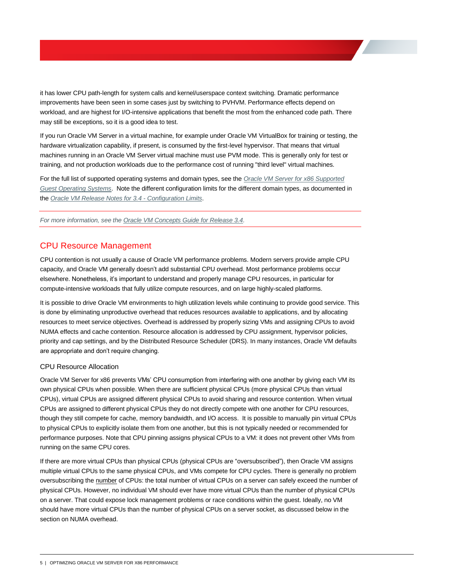it has lower CPU path-length for system calls and kernel/userspace context switching. Dramatic performance improvements have been seen in some cases just by switching to PVHVM. Performance effects depend on workload, and are highest for I/O-intensive applications that benefit the most from the enhanced code path. There may still be exceptions, so it is a good idea to test.

If you run Oracle VM Server in a virtual machine, for example under Oracle VM VirtualBox for training or testing, the hardware virtualization capability, if present, is consumed by the first-level hypervisor. That means that virtual machines running in an Oracle VM Server virtual machine must use PVM mode. This is generally only for test or training, and not production workloads due to the performance cost of running "third level" virtual machines.

For the full list of supported operating systems and domain types, see the *[Oracle VM Server for x86 Supported](http://docs.oracle.com/cd/E64076_01/E76173/html/vmrns-guest-os-x86.html)  [Guest Operating Systems](http://docs.oracle.com/cd/E64076_01/E76173/html/vmrns-guest-os-x86.html)*. Note the different configuration limits for the different domain types, as documented in the *[Oracle VM Release Notes for 3.4 -](http://docs.oracle.com/cd/E64076_01/E76173/html/vmrns-limits.html) Configuration Limits*.

*For more information, see th[e Oracle VM Concepts Guide for Release 3.4.](http://docs.oracle.com/cd/E64076_01/E64081/html/index.html)*

### <span id="page-7-0"></span>CPU Resource Management

CPU contention is not usually a cause of Oracle VM performance problems. Modern servers provide ample CPU capacity, and Oracle VM generally doesn't add substantial CPU overhead. Most performance problems occur elsewhere. Nonetheless, it's important to understand and properly manage CPU resources, in particular for compute-intensive workloads that fully utilize compute resources, and on large highly-scaled platforms.

It is possible to drive Oracle VM environments to high utilization levels while continuing to provide good service. This is done by eliminating unproductive overhead that reduces resources available to applications, and by allocating resources to meet service objectives. Overhead is addressed by properly sizing VMs and assigning CPUs to avoid NUMA effects and cache contention. Resource allocation is addressed by CPU assignment, hypervisor policies, priority and cap settings, and by the Distributed Resource Scheduler (DRS). In many instances, Oracle VM defaults are appropriate and don't require changing.

#### <span id="page-7-1"></span>CPU Resource Allocation

Oracle VM Server for x86 prevents VMs' CPU consumption from interfering with one another by giving each VM its own physical CPUs when possible. When there are sufficient physical CPUs (more physical CPUs than virtual CPUs), virtual CPUs are assigned different physical CPUs to avoid sharing and resource contention. When virtual CPUs are assigned to different physical CPUs they do not directly compete with one another for CPU resources, though they still compete for cache, memory bandwidth, and I/O access. It is possible to manually pin virtual CPUs to physical CPUs to explicitly isolate them from one another, but this is not typically needed or recommended for performance purposes. Note that CPU pinning assigns physical CPUs to a VM: it does not prevent other VMs from running on the same CPU cores.

If there are more virtual CPUs than physical CPUs (physical CPUs are "oversubscribed"), then Oracle VM assigns multiple virtual CPUs to the same physical CPUs, and VMs compete for CPU cycles. There is generally no problem oversubscribing the number of CPUs: the total number of virtual CPUs on a server can safely exceed the number of physical CPUs. However, no individual VM should ever have more virtual CPUs than the number of physical CPUs on a server. That could expose lock management problems or race conditions within the guest. Ideally, no VM should have more virtual CPUs than the number of physical CPUs on a server socket, as discussed below in the section on NUMA overhead.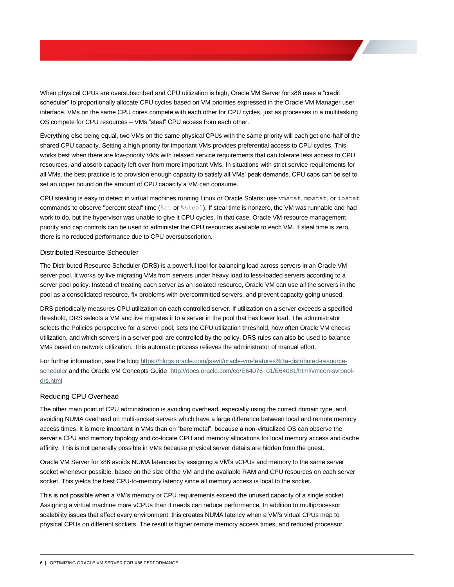When physical CPUs are oversubscribed and CPU utilization is high, Oracle VM Server for x86 uses a "credit scheduler" to proportionally allocate CPU cycles based on VM priorities expressed in the Oracle VM Manager user interface. VMs on the same CPU cores compete with each other for CPU cycles, just as processes in a multitasking OS compete for CPU resources – VMs "steal" CPU access from each other.

Everything else being equal, two VMs on the same physical CPUs with the same priority will each get one-half of the shared CPU capacity. Setting a high priority for important VMs provides preferential access to CPU cycles. This works best when there are low-priority VMs with relaxed service requirements that can tolerate less access to CPU resources, and absorb capacity left over from more important VMs. In situations with strict service requirements for all VMs, the best practice is to provision enough capacity to satisfy all VMs' peak demands. CPU caps can be set to set an upper bound on the amount of CPU capacity a VM can consume.

CPU stealing is easy to detect in virtual machines running Linux or Oracle Solaris: use vmstat, mpstat, or iostat commands to observe "percent steal" time (%st or %steal). If steal time is nonzero, the VM was runnable and had work to do, but the hypervisor was unable to give it CPU cycles. In that case, Oracle VM resource management priority and cap controls can be used to administer the CPU resources available to each VM. If steal time is zero, there is no reduced performance due to CPU oversubscription.

#### <span id="page-8-0"></span>Distributed Resource Scheduler

The Distributed Resource Scheduler (DRS) is a powerful tool for balancing load across servers in an Oracle VM server pool. It works by live migrating VMs from servers under heavy load to less-loaded servers according to a server pool policy. Instead of treating each server as an isolated resource, Oracle VM can use all the servers in the pool as a consolidated resource, fix problems with overcommitted servers, and prevent capacity going unused.

DRS periodically measures CPU utilization on each controlled server. If utilization on a server exceeds a specified threshold, DRS selects a VM and live migrates it to a server in the pool that has lower load. The administrator selects the Policies perspective for a server pool, sets the CPU utilization threshold, how often Oracle VM checks utilization, and which servers in a server pool are controlled by the policy. DRS rules can also be used to balance VMs based on network utilization. This automatic process relieves the administrator of manual effort.

For further information, see the blo[g https://blogs.oracle.com/jsavit/oracle-vm-features%3a-distributed-resource](https://blogs.oracle.com/jsavit/oracle-vm-features%3a-distributed-resource-scheduler)[scheduler](https://blogs.oracle.com/jsavit/oracle-vm-features%3a-distributed-resource-scheduler) and the Oracle VM Concepts Guide [http://docs.oracle.com/cd/E64076\\_01/E64081/html/vmcon-svrpool](http://docs.oracle.com/cd/E64076_01/E64081/html/vmcon-svrpool-drs.html)[drs.html](http://docs.oracle.com/cd/E64076_01/E64081/html/vmcon-svrpool-drs.html)

#### <span id="page-8-1"></span>Reducing CPU Overhead

The other main point of CPU administration is avoiding overhead, especially using the correct domain type, and avoiding NUMA overhead on multi-socket servers which have a large difference between local and remote memory access times. It is more important in VMs than on "bare metal", because a non-virtualized OS can observe the server's CPU and memory topology and co-locate CPU and memory allocations for local memory access and cache affinity. This is not generally possible in VMs because physical server details are hidden from the guest.

Oracle VM Server for x86 avoids NUMA latencies by assigning a VM's vCPUs and memory to the same server socket whenever possible, based on the size of the VM and the available RAM and CPU resources on each server socket. This yields the best CPU-to-memory latency since all memory access is local to the socket.

This is not possible when a VM's memory or CPU requirements exceed the unused capacity of a single socket. Assigning a virtual machine more vCPUs than it needs can reduce performance. In addition to multiprocessor scalability issues that affect every environment, this creates NUMA latency when a VM's virtual CPUs map to physical CPUs on different sockets. The result is higher remote memory access times, and reduced processor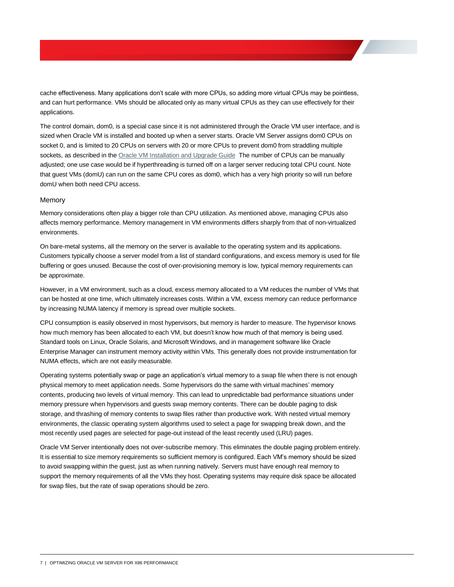cache effectiveness. Many applications don't scale with more CPUs, so adding more virtual CPUs may be pointless, and can hurt performance. VMs should be allocated only as many virtual CPUs as they can use effectively for their applications.

The control domain, dom0, is a special case since it is not administered through the Oracle VM user interface, and is sized when Oracle VM is installed and booted up when a server starts. Oracle VM Server assigns dom0 CPUs on socket 0, and is limited to 20 CPUs on servers with 20 or more CPUs to prevent dom0 from straddling multiple sockets, as described in the [Oracle VM Installation and Upgrade Guide](http://docs.oracle.com/cd/E64076_01/E64078/html/vmiug-upgrade-server-final-steps-edit-boot-params.html) The number of CPUs can be manually adjusted; one use case would be if hyperthreading is turned off on a larger server reducing total CPU count. Note that guest VMs (domU) can run on the same CPU cores as dom0, which has a very high priority so will run before domU when both need CPU access.

#### <span id="page-9-0"></span>Memory

Memory considerations often play a bigger role than CPU utilization. As mentioned above, managing CPUs also affects memory performance. Memory management in VM environments differs sharply from that of non-virtualized environments.

On bare-metal systems, all the memory on the server is available to the operating system and its applications. Customers typically choose a server model from a list of standard configurations, and excess memory is used for file buffering or goes unused. Because the cost of over-provisioning memory is low, typical memory requirements can be approximate.

However, in a VM environment, such as a cloud, excess memory allocated to a VM reduces the number of VMs that can be hosted at one time, which ultimately increases costs. Within a VM, excess memory can reduce performance by increasing NUMA latency if memory is spread over multiple sockets.

CPU consumption is easily observed in most hypervisors, but memory is harder to measure. The hypervisor knows how much memory has been allocated to each VM, but doesn't know how much of that memory is being used. Standard tools on Linux, Oracle Solaris, and Microsoft Windows, and in management software like Oracle Enterprise Manager can instrument memory activity within VMs. This generally does not provide instrumentation for NUMA effects, which are not easily measurable.

Operating systems potentially swap or page an application's virtual memory to a swap file when there is not enough physical memory to meet application needs. Some hypervisors do the same with virtual machines' memory contents, producing two levels of virtual memory. This can lead to unpredictable bad performance situations under memory pressure when hypervisors and guests swap memory contents. There can be double paging to disk storage, and thrashing of memory contents to swap files rather than productive work. With nested virtual memory environments, the classic operating system algorithms used to select a page for swapping break down, and the most recently used pages are selected for page-out instead of the least recently used (LRU) pages.

Oracle VM Server intentionally does not over-subscribe memory. This eliminates the double paging problem entirely. It is essential to size memory requirements so sufficient memory is configured. Each VM's memory should be sized to avoid swapping within the guest, just as when running natively. Servers must have enough real memory to support the memory requirements of all the VMs they host. Operating systems may require disk space be allocated for swap files, but the rate of swap operations should be zero.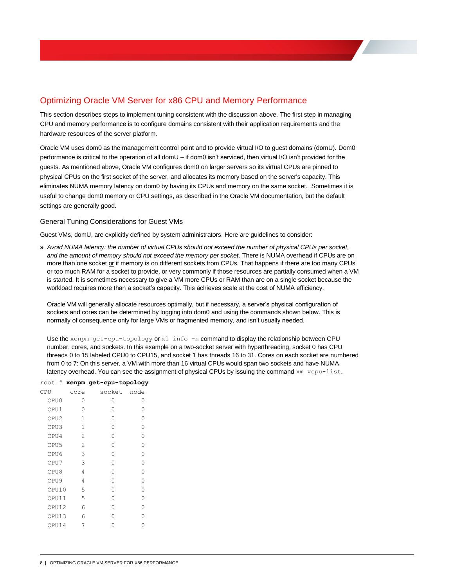# <span id="page-10-0"></span>Optimizing Oracle VM Server for x86 CPU and Memory Performance

This section describes steps to implement tuning consistent with the discussion above. The first step in managing CPU and memory performance is to configure domains consistent with their application requirements and the hardware resources of the server platform.

Oracle VM uses dom0 as the management control point and to provide virtual I/O to guest domains (domU). Dom0 performance is critical to the operation of all domU – if dom0 isn't serviced, then virtual I/O isn't provided for the guests. As mentioned above, Oracle VM configures dom0 on larger servers so its virtual CPUs are pinned to physical CPUs on the first socket of the server, and allocates its memory based on the server's capacity. This eliminates NUMA memory latency on dom0 by having its CPUs and memory on the same socket. Sometimes it is useful to change dom0 memory or CPU settings, as described in the Oracle VM documentation, but the default settings are generally good.

#### <span id="page-10-1"></span>General Tuning Considerations for Guest VMs

Guest VMs, domU, are explicitly defined by system administrators. Here are guidelines to consider:

**»** *Avoid NUMA latency: the number of virtual CPUs should not exceed the number of physical CPUs per socket, and the amount of memory should not exceed the memory per socket*. There is NUMA overhead if CPUs are on more than one socket or if memory is on different sockets from CPUs. That happens if there are too many CPUs or too much RAM for a socket to provide, or very commonly if those resources are partially consumed when a VM is started. It is sometimes necessary to give a VM more CPUs or RAM than are on a single socket because the workload requires more than a socket's capacity. This achieves scale at the cost of NUMA efficiency.

Oracle VM will generally allocate resources optimally, but if necessary, a server's physical configuration of sockets and cores can be determined by logging into dom0 and using the commands shown below. This is normally of consequence only for large VMs or fragmented memory, and isn't usually needed.

Use the xenpm get-cpu-topology or x1 info -n command to display the relationship between CPU number, cores, and sockets. In this example on a two-socket server with hyperthreading, socket 0 has CPU threads 0 to 15 labeled CPU0 to CPU15, and socket 1 has threads 16 to 31. Cores on each socket are numbered from 0 to 7: On this server, a VM with more than 16 virtual CPUs would span two sockets and have NUMA latency overhead. You can see the assignment of physical CPUs by issuing the command xm vcpu-list.

|                  |                | root # xenpm get-cpu-topology |   |
|------------------|----------------|-------------------------------|---|
| CPU              | core           | socket node                   |   |
| CPU0             | Ω              | Ω                             | 0 |
| CPU1             | 0              | Ω                             | Ω |
| CPU2             | 1              | Ω                             | Ω |
| CPU3             | 1              | Ω                             | Ω |
| CPU4             | 2              | Ω                             | O |
| CPU5             | $\mathfrak{D}$ | Ω                             | O |
| CPU6             | 3              | Ω                             | 0 |
| CPU7             | 3              | Λ                             | 0 |
| CPU8             | 4              | Λ                             | 0 |
| CPU <sub>9</sub> | 4              | Ω                             | O |
| CPU10            | 5              | Λ                             | Ω |
| CPU11            | 5              | Ω                             | O |
| CPU12            | 6              | Λ                             | Ω |
| CPU13            | 6              | ∩                             | Ω |
| CPU14            | 7              |                               | Λ |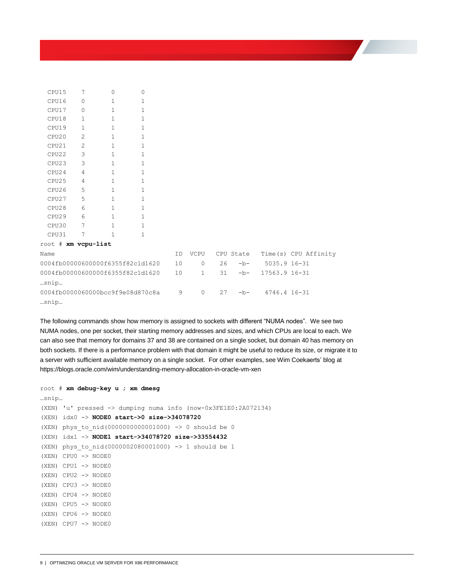| CPU15                                    | 7            | $\circ$      | $\circ$      |    |              |    |           |               |                      |
|------------------------------------------|--------------|--------------|--------------|----|--------------|----|-----------|---------------|----------------------|
| CPU16                                    | 0            | $\mathbf{1}$ | 1            |    |              |    |           |               |                      |
| CPU17                                    | $\circ$      | $\mathbf{1}$ | $\mathbf{1}$ |    |              |    |           |               |                      |
| CPU18                                    | 1            | $\mathbf{1}$ | $\mathbf{1}$ |    |              |    |           |               |                      |
| CPU19                                    | $\mathbf{1}$ | $\mathbf{1}$ | 1            |    |              |    |           |               |                      |
| CPU20                                    | 2            | $\mathbf{1}$ | 1            |    |              |    |           |               |                      |
| CPU21                                    | 2            | $\mathbf{1}$ | $\mathbf{1}$ |    |              |    |           |               |                      |
| CPU22                                    | 3            | $1\,$        | $\mathbf{1}$ |    |              |    |           |               |                      |
| CPU23                                    | 3            | $\mathbf{1}$ | $\mathbf{1}$ |    |              |    |           |               |                      |
| CPU24                                    | 4            | $\mathbf{1}$ | $\mathbf{1}$ |    |              |    |           |               |                      |
| CPU25                                    | 4            | $\mathbf{1}$ | 1            |    |              |    |           |               |                      |
| CPU26                                    | 5            | $\mathbf{1}$ | $\mathbf{1}$ |    |              |    |           |               |                      |
| CPU27                                    | 5            | $\mathbf{1}$ | $\mathbf{1}$ |    |              |    |           |               |                      |
| CPU28                                    | 6            | $\mathbf{1}$ | $\mathbf{1}$ |    |              |    |           |               |                      |
| CPU29                                    | 6            | $\mathbf{1}$ | $\mathbf{1}$ |    |              |    |           |               |                      |
| CPU30                                    | 7            | $\mathbf{1}$ | $\mathbf{1}$ |    |              |    |           |               |                      |
| CPU31                                    | 7            | $\mathbf{1}$ | $\mathbf{1}$ |    |              |    |           |               |                      |
| root # xm vcpu-list                      |              |              |              |    |              |    |           |               |                      |
| Name                                     |              |              |              | ID | VCPU         |    | CPU State |               | Time(s) CPU Affinity |
| 0004fb00000600000f6355f82c1d1620         |              |              |              | 10 | $\circ$      | 26 | $-b-$     | 5035.9 16-31  |                      |
| 0004fb00000600000f6355f82c1d1620<br>snip |              |              |              | 10 | $\mathbf{1}$ | 31 | $-b-$     | 17563.9 16-31 |                      |
| 0004fb0000060000bcc9f9e08d870c8a<br>snip |              |              |              | 9  | $\circ$      | 27 | $-b-$     | 4746.4 16-31  |                      |

The following commands show how memory is assigned to sockets with different "NUMA nodes". We see two NUMA nodes, one per socket, their starting memory addresses and sizes, and which CPUs are local to each. We can also see that memory for domains 37 and 38 are contained on a single socket, but domain 40 has memory on both sockets. If there is a performance problem with that domain it might be useful to reduce its size, or migrate it to a server with sufficient available memory on a single socket. For other examples, see Wim Coekaerts' blog at https://blogs.oracle.com/wim/understanding-memory-allocation-in-oracle-vm-xen

```
root # xm debug-key u ; xm dmesg
…snip…
(XEN) 'u' pressed -> dumping numa info (now-0x3FE1E0:2A072134)
(XEN) idx0 -> NODE0 start->0 size->34078720
(XEN) phys_to_nid(0000000000001000) -> 0 should be 0
(XEN) idx1 -> NODE1 start->34078720 size->33554432
(XEN) phys_to_nid(0000002080001000) -> 1 should be 1
(XEN) CPU0 -> NODE0
(XEN) CPU1 -> NODE0
(XEN) CPU2 -> NODE0
(XEN) CPU3 -> NODE0
(XEN) CPU4 -> NODE0
(XEN) CPU5 -> NODE0
(XEN) CPU6 -> NODE0
(XEN) CPU7 -> NODE0
```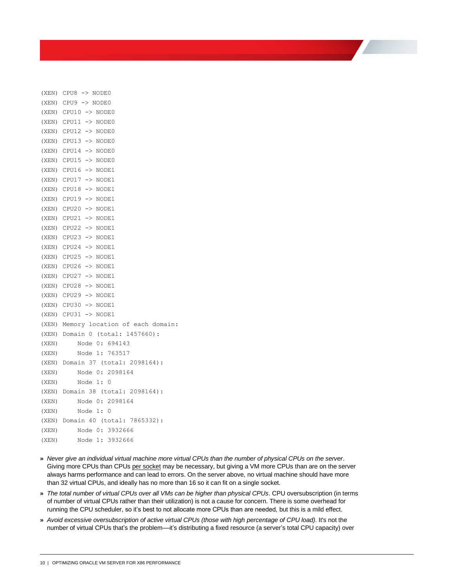```
(XEN) CPU8 -> NODE0
(XEN) CPU9 -> NODE0
(XEN) CPU10 \rightarrow NODE0
(XEN) CPU11 -> NODE0
(XEN) CPU12 -> NODE0
(XEN) CPU13 -> NODE0
(XEN) CPU14 -> NODE0
(XEN) CPU15 -> NODE0
(XEN) CPU16 -> NODE1
(XEN) CPU17 -> NODE1
(XEN) CPU18 -> NODE1
(XEN) CPU19 -> NODE1
(XEN) CPU20 -> NODE1
(XEN) CPU21 -> NODE1
(XEN) CPU22 -> NODE1
(XEN) CPU23 -> NODE1
(XEN) CPU24 -> NODE1
(XEN) CPU25 -> NODE1
(XEN) CPU26 -> NODE1
(XEN) CPU27 -> NODE1
(XEN) CPU28 -> NODE1
(XEN) CPU29 -> NODE1
(XEN) CPU30 -> NODE1
(XEN) CPU31 -> NODE1
(XEN) Memory location of each domain:
(XEN) Domain 0 (total: 1457660):
(XEN) Node 0: 694143
(XEN) Node 1: 763517
(XEN) Domain 37 (total: 2098164):
(XEN) Node 0: 2098164
(XEN) Node 1: 0
(XEN) Domain 38 (total: 2098164):
(XEN) Node 0: 2098164
(XEN) Node 1: 0
(XEN) Domain 40 (total: 7865332):
(XEN) Node 0: 3932666
(XEN) Node 1: 3932666
```
- **»** *Never give an individual virtual machine more virtual CPUs than the number of physical CPUs on the server*. Giving more CPUs than CPUs per socket may be necessary, but giving a VM more CPUs than are on the server always harms performance and can lead to errors. On the server above, no virtual machine should have more than 32 virtual CPUs, and ideally has no more than 16 so it can fit on a single socket.
- **»** *The total number of virtual CPUs over all VMs can be higher than physical CPUs*. CPU oversubscription (in terms of number of virtual CPUs rather than their utilization) is not a cause for concern. There is some overhead for running the CPU scheduler, so it's best to not allocate more CPUs than are needed, but this is a mild effect.
- **»** *Avoid excessive oversubscription of active virtual CPUs (those with high percentage of CPU load)*. It's not the number of virtual CPUs that's the problem––it's distributing a fixed resource (a server's total CPU capacity) over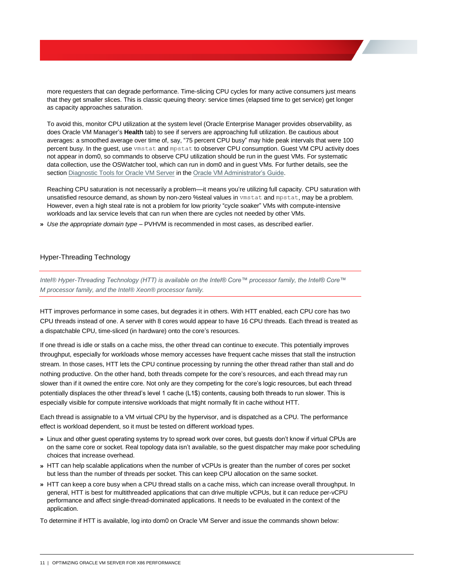more requesters that can degrade performance. Time-slicing CPU cycles for many active consumers just means that they get smaller slices. This is classic queuing theory: service times (elapsed time to get service) get longer as capacity approaches saturation.

To avoid this, monitor CPU utilization at the system level (Oracle Enterprise Manager provides observability, as does Oracle VM Manager's **Health** tab) to see if servers are approaching full utilization. Be cautious about averages: a smoothed average over time of, say, "75 percent CPU busy" may hide peak intervals that were 100 percent busy. In the guest, use vmstat and mpstat to observer CPU consumption. Guest VM CPU activity does not appear in dom0, so commands to observe CPU utilization should be run in the guest VMs. For systematic data collection, use the OSWatcher tool, which can run in dom0 and in guest VMs. For further details, see the sectio[n Diagnostic Tools for Oracle VM Server](http://docs.oracle.com/cd/E64076_01/E64083/html/vmadm-config-ovs-diagnostic.html) in th[e Oracle VM Administrator's Guide.](http://docs.oracle.com/cd/E64076_01/E64083/html/index.html)

Reaching CPU saturation is not necessarily a problem––it means you're utilizing full capacity. CPU saturation with unsatisfied resource demand, as shown by non-zero %steal values in vmstat and mpstat, may be a problem. However, even a high steal rate is not a problem for low priority "cycle soaker" VMs with compute-intensive workloads and lax service levels that can run when there are cycles not needed by other VMs.

**»** *Use the appropriate domain type* – PVHVM is recommended in most cases, as described earlier.

#### <span id="page-13-0"></span>Hyper-Threading Technology

*Intel® Hyper-Threading Technology (HTT) is available on the Intel® Core™ processor family, the Intel® Core™ M processor family, and the Intel® Xeon® processor family.* 

HTT improves performance in some cases, but degrades it in others. With HTT enabled, each CPU core has two CPU threads instead of one. A server with 8 cores would appear to have 16 CPU threads. Each thread is treated as a dispatchable CPU, time-sliced (in hardware) onto the core's resources.

If one thread is idle or stalls on a cache miss, the other thread can continue to execute. This potentially improves throughput, especially for workloads whose memory accesses have frequent cache misses that stall the instruction stream. In those cases, HTT lets the CPU continue processing by running the other thread rather than stall and do nothing productive. On the other hand, both threads compete for the core's resources, and each thread may run slower than if it owned the entire core. Not only are they competing for the core's logic resources, but each thread potentially displaces the other thread's level 1 cache (L1\$) contents, causing both threads to run slower. This is especially visible for compute intensive workloads that might normally fit in cache without HTT.

Each thread is assignable to a VM virtual CPU by the hypervisor, and is dispatched as a CPU. The performance effect is workload dependent, so it must be tested on different workload types.

- **»** Linux and other guest operating systems try to spread work over cores, but guests don't know if virtual CPUs are on the same core or socket. Real topology data isn't available, so the guest dispatcher may make poor scheduling choices that increase overhead.
- **»** HTT can help scalable applications when the number of vCPUs is greater than the number of cores per socket but less than the number of threads per socket. This can keep CPU allocation on the same socket.
- **»** HTT can keep a core busy when a CPU thread stalls on a cache miss, which can increase overall throughput. In general, HTT is best for multithreaded applications that can drive multiple vCPUs, but it can reduce per-vCPU performance and affect single-thread-dominated applications. It needs to be evaluated in the context of the application.

To determine if HTT is available, log into dom0 on Oracle VM Server and issue the commands shown below: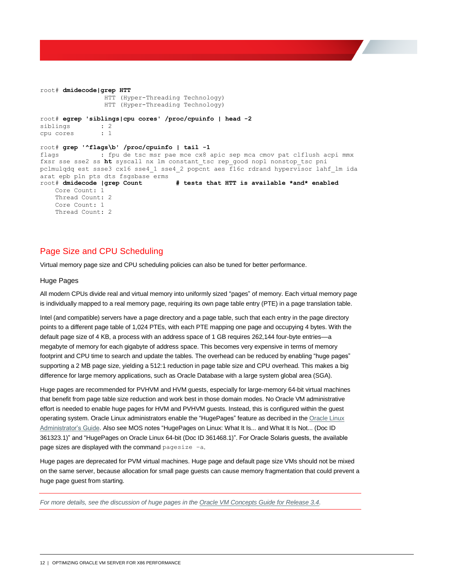```
root# dmidecode|grep HTT
                 HTT (Hyper-Threading Technology)
                HTT (Hyper-Threading Technology) 
root# egrep 'siblings|cpu cores' /proc/cpuinfo | head -2
siblings : 2
cpu cores : 1 
root# grep '^flags\b' /proc/cpuinfo | tail -1
flags : fpu de tsc msr pae mce cx8 apic sep mca cmov pat clflush acpi mmx 
fxsr sse sse2 ss ht syscall nx lm constant_tsc rep_good nopl nonstop_tsc pni 
pclmulqdq est ssse3 cx16 sse4_1 sse4_2 popcnt aes f16c rdrand hypervisor lahf_lm ida 
arat epb pln pts dts fsgsbase erms
root# dmidecode |grep Count # tests that HTT is available *and* enabled
    Core Count: 1
    Thread Count: 2
    Core Count: 1
     Thread Count: 2
```
# <span id="page-14-0"></span>Page Size and CPU Scheduling

Virtual memory page size and CPU scheduling policies can also be tuned for better performance.

#### <span id="page-14-1"></span>Huge Pages

All modern CPUs divide real and virtual memory into uniformly sized "pages" of memory. Each virtual memory page is individually mapped to a real memory page, requiring its own page table entry (PTE) in a page translation table.

Intel (and compatible) servers have a page directory and a page table, such that each entry in the page directory points to a different page table of 1,024 PTEs, with each PTE mapping one page and occupying 4 bytes. With the default page size of 4 KB, a process with an address space of 1 GB requires 262,144 four-byte entries––a megabyte of memory for each gigabyte of address space. This becomes very expensive in terms of memory footprint and CPU time to search and update the tables. The overhead can be reduced by enabling "huge pages" supporting a 2 MB page size, yielding a 512:1 reduction in page table size and CPU overhead. This makes a big difference for large memory applications, such as Oracle Database with a large system global area (SGA).

Huge pages are recommended for PVHVM and HVM guests, especially for large-memory 64-bit virtual machines that benefit from page table size reduction and work best in those domain modes. No Oracle VM administrative effort is needed to enable huge pages for HVM and PVHVM guests. Instead, this is configured within the guest operating system. Oracle Linux administrators enable the "HugePages" feature as decribed in th[e Oracle Linux](https://docs.oracle.com/cd/E37670_01/E37355/html/ol_hugepages.html)  [Administrator's Guide.](https://docs.oracle.com/cd/E37670_01/E37355/html/ol_hugepages.html) Also see MOS notes "HugePages on Linux: What It Is... and What It Is Not... (Doc ID 361323.1)" and "HugePages on Oracle Linux 64-bit (Doc ID 361468.1)". For Oracle Solaris guests, the available page sizes are displayed with the command pagesize –a.

Huge pages are deprecated for PVM virtual machines. Huge page and default page size VMs should not be mixed on the same server, because allocation for small page guests can cause memory fragmentation that could prevent a huge page guest from starting.

*For more details, see the discussion of huge pages in the [Oracle VM Concepts Guide for Release 3.4.](http://docs.oracle.com/cd/E64076_01/E64081/html/vmcon-vm-hugepages.html)*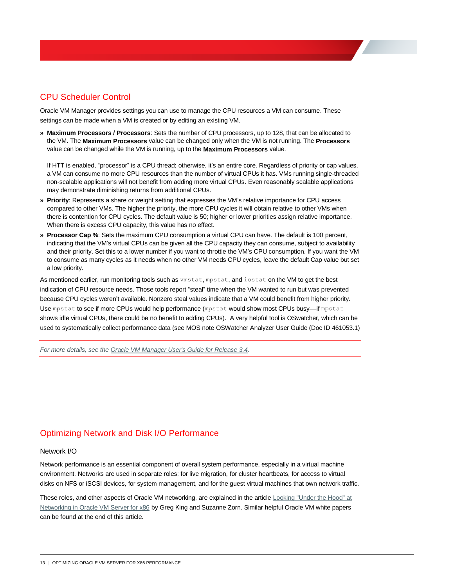# <span id="page-15-0"></span>CPU Scheduler Control

Oracle VM Manager provides settings you can use to manage the CPU resources a VM can consume. These settings can be made when a VM is created or by editing an existing VM.

**» Maximum Processors / Processors**: Sets the number of CPU processors, up to 128, that can be allocated to the VM. The **Maximum Processors** value can be changed only when the VM is not running. The **Processors** value can be changed while the VM is running, up to the **Maximum Processors** value.

If HTT is enabled, "processor" is a CPU thread; otherwise, it's an entire core. Regardless of priority or cap values, a VM can consume no more CPU resources than the number of virtual CPUs it has. VMs running single-threaded non-scalable applications will not benefit from adding more virtual CPUs. Even reasonably scalable applications may demonstrate diminishing returns from additional CPUs.

- **» Priority**: Represents a share or weight setting that expresses the VM's relative importance for CPU access compared to other VMs. The higher the priority, the more CPU cycles it will obtain relative to other VMs when there is contention for CPU cycles. The default value is 50; higher or lower priorities assign relative importance. When there is excess CPU capacity, this value has no effect.
- **» Processor Cap %**: Sets the maximum CPU consumption a virtual CPU can have. The default is 100 percent, indicating that the VM's virtual CPUs can be given all the CPU capacity they can consume, subject to availability and their priority. Set this to a lower number if you want to throttle the VM's CPU consumption. If you want the VM to consume as many cycles as it needs when no other VM needs CPU cycles, leave the default Cap value but set a low priority.

As mentioned earlier, run monitoring tools such as vmstat, mpstat, and iostat on the VM to get the best indication of CPU resource needs. Those tools report "steal" time when the VM wanted to run but was prevented because CPU cycles weren't available. Nonzero steal values indicate that a VM could benefit from higher priority. Use mpstat to see if more CPUs would help performance (mpstat would show most CPUs busy––if mpstat shows idle virtual CPUs, there could be no benefit to adding CPUs). A very helpful tool is OSwatcher, which can be used to systematically collect performance data (see MOS note OSWatcher Analyzer User Guide (Doc ID 461053.1)

*For more details, see the [Oracle VM Manager User's Guide for Release 3.4.](http://docs.oracle.com/cd/E64076_01/E64082/html/vmusg-svrpools-vm-create.html)*

# <span id="page-15-1"></span>Optimizing Network and Disk I/O Performance

#### <span id="page-15-2"></span>Network I/O

Network performance is an essential component of overall system performance, especially in a virtual machine environment. Networks are used in separate roles: for live migration, for cluster heartbeats, for access to virtual disks on NFS or iSCSI devices, for system management, and for the guest virtual machines that own network traffic.

These roles, and other aspects of Oracle VM networking, are explained in the article Looking "Under the Hood" at [Networking in Oracle VM Server for x86](http://www.oracle.com/technetwork/articles/servers-storage-admin/networking-ovm-x86-1873548.html) by Greg King and Suzanne Zorn. Similar helpful Oracle VM white papers can be found at the end of this article.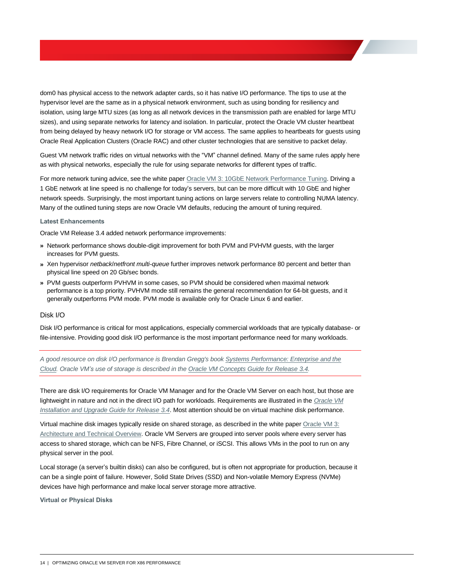dom0 has physical access to the network adapter cards, so it has native I/O performance. The tips to use at the hypervisor level are the same as in a physical network environment, such as using bonding for resiliency and isolation, using large MTU sizes (as long as all network devices in the transmission path are enabled for large MTU sizes), and using separate networks for latency and isolation. In particular, protect the Oracle VM cluster heartbeat from being delayed by heavy network I/O for storage or VM access. The same applies to heartbeats for guests using Oracle Real Application Clusters (Oracle RAC) and other cluster technologies that are sensitive to packet delay.

Guest VM network traffic rides on virtual networks with the "VM" channel defined. Many of the same rules apply here as with physical networks, especially the rule for using separate networks for different types of traffic.

For more network tuning advice, see the white paper [Oracle VM 3: 10GbE Network Performance Tuning.](http://www.oracle.com/technetwork/server-storage/vm/ovm3-10gbe-perf-1900032.pdf) Driving a 1 GbE network at line speed is no challenge for today's servers, but can be more difficult with 10 GbE and higher network speeds. Surprisingly, the most important tuning actions on large servers relate to controlling NUMA latency. Many of the outlined tuning steps are now Oracle VM defaults, reducing the amount of tuning required.

#### <span id="page-16-0"></span>**Latest Enhancements**

Oracle VM Release 3.4 added network performance improvements:

- **»** Network performance shows double-digit improvement for both PVM and PVHVM guests, with the larger increases for PVM guests.
- **»** Xen hypervisor *netback*/*netfront multi-queue* further improves network performance 80 percent and better than physical line speed on 20 Gb/sec bonds.
- **»** PVM guests outperform PVHVM in some cases, so PVM should be considered when maximal network performance is a top priority. PVHVM mode still remains the general recommendation for 64-bit guests, and it generally outperforms PVM mode. PVM mode is available only for Oracle Linux 6 and earlier.

#### <span id="page-16-1"></span>Disk I/O

Disk I/O performance is critical for most applications, especially commercial workloads that are typically database- or file-intensive. Providing good disk I/O performance is the most important performance need for many workloads.

*A good resource on disk I/O performance is Brendan Gregg's boo[k Systems Performance: Enterprise and the](http://www.brendangregg.com/sysperfbook.html)  [Cloud.](http://www.brendangregg.com/sysperfbook.html) Oracle VM's use of storage is described in the [Oracle VM Concepts Guide for Release 3.4.](http://docs.oracle.com/cd/E64076_01/E64081/html/vmcon-storage.html)* 

There are disk I/O requirements for Oracle VM Manager and for the Oracle VM Server on each host, but those are lightweight in nature and not in the direct I/O path for workloads. Requirements are illustrated in the *[Oracle VM](http://docs.oracle.com/cd/E64076_01/E64078/html/index.html)  [Installation and Upgrade Guide for Release 3.4](http://docs.oracle.com/cd/E64076_01/E64078/html/index.html)*. Most attention should be on virtual machine disk performance.

Virtual machine disk images typically reside on shared storage, as described in the white paper [Oracle VM 3:](http://www.oracle.com/us/technologies/virtualization/ovm3-arch-tech-overview-459307.pdf)  [Architecture and Technical Overview.](http://www.oracle.com/us/technologies/virtualization/ovm3-arch-tech-overview-459307.pdf) Oracle VM Servers are grouped into server pools where every server has access to shared storage, which can be NFS, Fibre Channel, or iSCSI. This allows VMs in the pool to run on any physical server in the pool.

Local storage (a server's builtin disks) can also be configured, but is often not appropriate for production, because it can be a single point of failure. However, Solid State Drives (SSD) and Non-volatile Memory Express (NVMe) devices have high performance and make local server storage more attractive.

<span id="page-16-2"></span>**Virtual or Physical Disks**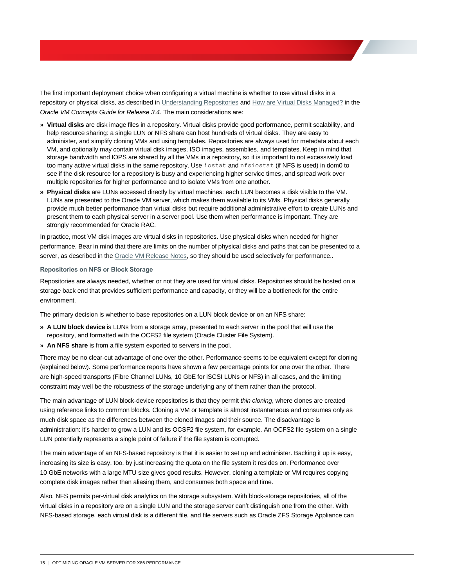The first important deployment choice when configuring a virtual machine is whether to use virtual disks in a repository or physical disks, as described in [Understanding Repositories](http://docs.oracle.com/cd/E64076_01/E64081/html/vmcon-repositories.html) an[d How are Virtual Disks Managed?](http://docs.oracle.com/cd/E64076_01/E64081/html/vmcon-repositories-vdisks.html) in the *Oracle VM Concepts Guide for Release 3.4*. The main considerations are:

- **» Virtual disks** are disk image files in a repository. Virtual disks provide good performance, permit scalability, and help resource sharing: a single LUN or NFS share can host hundreds of virtual disks. They are easy to administer, and simplify cloning VMs and using templates. Repositories are always used for metadata about each VM, and optionally may contain virtual disk images, ISO images, assemblies, and templates. Keep in mind that storage bandwidth and IOPS are shared by all the VMs in a repository, so it is important to not excessively load too many active virtual disks in the same repository. Use iostat and nfsiostat (if NFS is used) in dom0 to see if the disk resource for a repository is busy and experiencing higher service times, and spread work over multiple repositories for higher performance and to isolate VMs from one another.
- **» Physical disks** are LUNs accessed directly by virtual machines: each LUN becomes a disk visible to the VM. LUNs are presented to the Oracle VM server, which makes them available to its VMs. Physical disks generally provide much better performance than virtual disks but require additional administrative effort to create LUNs and present them to each physical server in a server pool. Use them when performance is important. They are strongly recommended for Oracle RAC.

In practice, most VM disk images are virtual disks in repositories. Use physical disks when needed for higher performance. Bear in mind that there are limits on the number of physical disks and paths that can be presented to a server, as described in th[e Oracle VM Release Notes,](http://docs.oracle.com/cd/E64076_01/E76173/html/vmrns-limits.html) so they should be used selectively for performance..

#### <span id="page-17-0"></span>**Repositories on NFS or Block Storage**

Repositories are always needed, whether or not they are used for virtual disks. Repositories should be hosted on a storage back end that provides sufficient performance and capacity, or they will be a bottleneck for the entire environment.

The primary decision is whether to base repositories on a LUN block device or on an NFS share:

- **» A LUN block device** is LUNs from a storage array, presented to each server in the pool that will use the repository, and formatted with the OCFS2 file system (Oracle Cluster File System).
- **» An NFS share** is from a file system exported to servers in the pool.

There may be no clear-cut advantage of one over the other. Performance seems to be equivalent except for cloning (explained below). Some performance reports have shown a few percentage points for one over the other. There are high-speed transports (Fibre Channel LUNs, 10 GbE for iSCSI LUNs or NFS) in all cases, and the limiting constraint may well be the robustness of the storage underlying any of them rather than the protocol.

The main advantage of LUN block-device repositories is that they permit *thin cloning*, where clones are created using reference links to common blocks. Cloning a VM or template is almost instantaneous and consumes only as much disk space as the differences between the cloned images and their source. The disadvantage is administration: it's harder to grow a LUN and its OCSF2 file system, for example. An OCFS2 file system on a single LUN potentially represents a single point of failure if the file system is corrupted.

The main advantage of an NFS-based repository is that it is easier to set up and administer. Backing it up is easy, increasing its size is easy, too, by just increasing the quota on the file system it resides on. Performance over 10 GbE networks with a large MTU size gives good results. However, cloning a template or VM requires copying complete disk images rather than aliasing them, and consumes both space and time.

Also, NFS permits per-virtual disk analytics on the storage subsystem. With block-storage repositories, all of the virtual disks in a repository are on a single LUN and the storage server can't distinguish one from the other. With NFS-based storage, each virtual disk is a different file, and file servers such as Oracle ZFS Storage Appliance can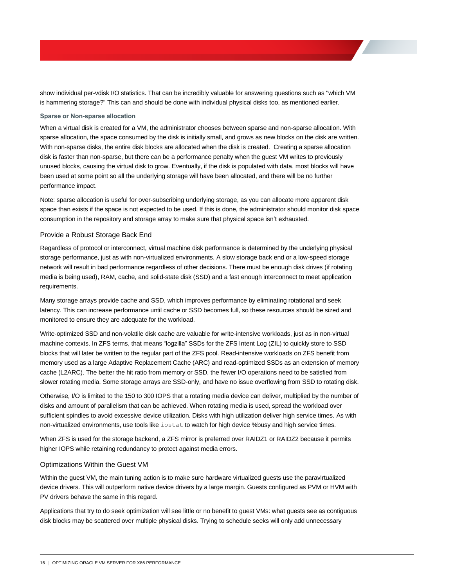show individual per-vdisk I/O statistics. That can be incredibly valuable for answering questions such as "which VM is hammering storage?" This can and should be done with individual physical disks too, as mentioned earlier.

#### <span id="page-18-0"></span>**Sparse or Non-sparse allocation**

When a virtual disk is created for a VM, the administrator chooses between sparse and non-sparse allocation. With sparse allocation, the space consumed by the disk is initially small, and grows as new blocks on the disk are written. With non-sparse disks, the entire disk blocks are allocated when the disk is created. Creating a sparse allocation disk is faster than non-sparse, but there can be a performance penalty when the guest VM writes to previously unused blocks, causing the virtual disk to grow. Eventually, if the disk is populated with data, most blocks will have been used at some point so all the underlying storage will have been allocated, and there will be no further performance impact.

Note: sparse allocation is useful for over-subscribing underlying storage, as you can allocate more apparent disk space than exists if the space is not expected to be used. If this is done, the administrator should monitor disk space consumption in the repository and storage array to make sure that physical space isn't exhausted.

#### <span id="page-18-1"></span>Provide a Robust Storage Back End

Regardless of protocol or interconnect, virtual machine disk performance is determined by the underlying physical storage performance, just as with non-virtualized environments. A slow storage back end or a low-speed storage network will result in bad performance regardless of other decisions. There must be enough disk drives (if rotating media is being used), RAM, cache, and solid-state disk (SSD) and a fast enough interconnect to meet application requirements.

Many storage arrays provide cache and SSD, which improves performance by eliminating rotational and seek latency. This can increase performance until cache or SSD becomes full, so these resources should be sized and monitored to ensure they are adequate for the workload.

Write-optimized SSD and non-volatile disk cache are valuable for write-intensive workloads, just as in non-virtual machine contexts. In ZFS terms, that means "logzilla" SSDs for the ZFS Intent Log (ZIL) to quickly store to SSD blocks that will later be written to the regular part of the ZFS pool. Read-intensive workloads on ZFS benefit from memory used as a large Adaptive Replacement Cache (ARC) and read-optimized SSDs as an extension of memory cache (L2ARC). The better the hit ratio from memory or SSD, the fewer I/O operations need to be satisfied from slower rotating media. Some storage arrays are SSD-only, and have no issue overflowing from SSD to rotating disk.

Otherwise, I/O is limited to the 150 to 300 IOPS that a rotating media device can deliver, multiplied by the number of disks and amount of parallelism that can be achieved. When rotating media is used, spread the workload over sufficient spindles to avoid excessive device utilization. Disks with high utilization deliver high service times. As with non-virtualized environments, use tools like iostat to watch for high device %busy and high service times.

When ZFS is used for the storage backend, a ZFS mirror is preferred over RAIDZ1 or RAIDZ2 because it permits higher IOPS while retaining redundancy to protect against media errors.

#### <span id="page-18-2"></span>Optimizations Within the Guest VM

Within the guest VM, the main tuning action is to make sure hardware virtualized guests use the paravirtualized device drivers. This will outperform native device drivers by a large margin. Guests configured as PVM or HVM with PV drivers behave the same in this regard.

Applications that try to do seek optimization will see little or no benefit to guest VMs: what guests see as contiguous disk blocks may be scattered over multiple physical disks. Trying to schedule seeks will only add unnecessary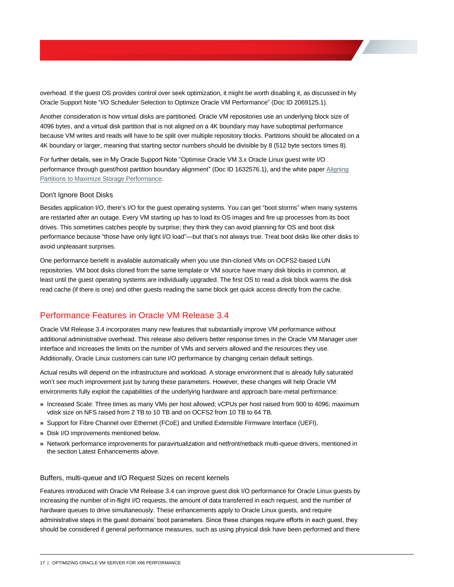overhead. If the guest OS provides control over seek optimization, it might be worth disabling it, as discussed in My Oracle Support Note "I/O Scheduler Selection to Optimize Oracle VM Performance" (Doc ID 2069125.1)*.*

Another consideration is how virtual disks are partitioned. Oracle VM repositories use an underlying block size of 4096 bytes, and a virtual disk partition that is not aligned on a 4K boundary may have suboptimal performance because VM writes and reads will have to be split over multiple repository blocks. Partitions should be allocated on a 4K boundary or larger, meaning that starting sector numbers should be divisible by 8 (512 byte sectors times 8).

For further details, see in My Oracle Support Note "Optimise Oracle VM 3.x Oracle Linux guest write I/O performance through guest/host partition boundary alignment" (Doc ID 1632576.1), and the white paper [Aligning](http://www.oracle.com/technetwork/server-storage/sun-unified-storage/documentation/partitionalign-111512-1875560.pdf)  [Partitions to Maximize Storage Performance.](http://www.oracle.com/technetwork/server-storage/sun-unified-storage/documentation/partitionalign-111512-1875560.pdf)

#### <span id="page-19-0"></span>Don't Ignore Boot Disks

Besides application I/O, there's I/O for the guest operating systems. You can get "boot storms" when many systems are restarted after an outage. Every VM starting up has to load its OS images and fire up processes from its boot drives. This sometimes catches people by surprise; they think they can avoid planning for OS and boot disk performance because "those have only light I/O load"—but that's not always true. Treat boot disks like other disks to avoid unpleasant surprises.

One performance benefit is available automatically when you use thin-cloned VMs on OCFS2-based LUN repositories. VM boot disks cloned from the same template or VM source have many disk blocks in common, at least until the guest operating systems are individually upgraded. The first OS to read a disk block warms the disk read cache (if there is one) and other guests reading the same block get quick access directly from the cache.

### <span id="page-19-1"></span>Performance Features in Oracle VM Release 3.4

Oracle VM Release 3.4 incorporates many new features that substantially improve VM performance without additional administrative overhead. This release also delivers better response times in the Oracle VM Manager user interface and increases the limits on the number of VMs and servers allowed and the resources they use. Additionally, Oracle Linux customers can tune I/O performance by changing certain default settings.

Actual results will depend on the infrastructure and workload. A storage environment that is already fully saturated won't see much improvement just by tuning these parameters. However, these changes will help Oracle VM environments fully exploit the capabilities of the underlying hardware and approach bare-metal performance:

- **»** Increased Scale: Three times as many VMs per host allowed; vCPUs per host raised from 900 to 4096; maximum vdisk size on NFS raised from 2 TB to 10 TB and on OCFS2 from 10 TB to 64 TB.
- **»** Support for Fibre Channel over Ethernet (FCoE) and Unified Extensible Firmware Interface (UEFI).
- **»** Disk I/O improvements mentioned below.
- **»** Network performance improvements for paravirtualization and netfront/netback multi-queue drivers, mentioned in the sectio[n Latest Enhancements](#page-16-0) a*bove.*

#### <span id="page-19-2"></span>Buffers, multi-queue and I/O Request Sizes on recent kernels

Features introduced with Oracle VM Release 3.4 can improve guest disk I/O performance for Oracle Linux guests by increasing the number of in-flight I/O requests, the amount of data transferred in each request, and the number of hardware queues to drive simultaneously. These enhancements apply to Oracle Linux guests, and require administrative steps in the guest domains' boot parameters. Since these changes require efforts in each guest, they should be considered if general performance measures, such as using physical disk have been performed and there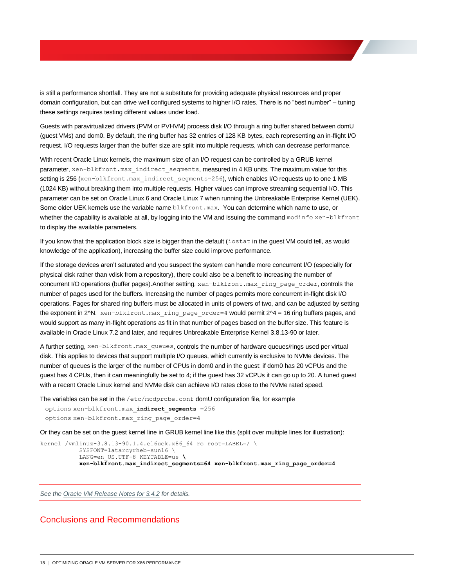is still a performance shortfall. They are not a substitute for providing adequate physical resources and proper domain configuration, but can drive well configured systems to higher I/O rates. There is no "best number" – tuning these settings requires testing different values under load.

Guests with paravirtualized drivers (PVM or PVHVM) process disk I/O through a ring buffer shared between domU (guest VMs) and dom0. By default, the ring buffer has 32 entries of 128 KB bytes, each representing an in-flight I/O request. I/O requests larger than the buffer size are split into multiple requests, which can decrease performance.

With recent Oracle Linux kernels, the maximum size of an I/O request can be controlled by a GRUB kernel parameter, xen-blkfront.max\_indirect\_segments, measured in 4 KB units. The maximum value for this setting is 256 (xen-blkfront.max\_indirect\_segments=256), which enables I/O requests up to one 1 MB (1024 KB) without breaking them into multiple requests. Higher values can improve streaming sequential I/O. This parameter can be set on Oracle Linux 6 and Oracle Linux 7 when running the Unbreakable Enterprise Kernel (UEK). Some older UEK kernels use the variable name blkfront.max. You can determine which name to use, or whether the capability is available at all, by logging into the VM and issuing the command modinfo xen-blkfront to display the available parameters.

If you know that the application block size is bigger than the default (iostat in the guest VM could tell, as would knowledge of the application), increasing the buffer size could improve performance.

If the storage devices aren't saturated and you suspect the system can handle more concurrent I/O (especially for physical disk rather than vdisk from a repository), there could also be a benefit to increasing the number of concurrent I/O operations (buffer pages).Another setting, xen-blkfront.max\_ring\_page\_order, controls the number of pages used for the buffers. Increasing the number of pages permits more concurrent in-flight disk I/O operations. Pages for shared ring buffers must be allocated in units of powers of two, and can be adjusted by setting the exponent in 2^N. xen-blkfront.max\_ring\_page\_order=4 would permit 2^4 = 16 ring buffers pages, and would support as many in-flight operations as fit in that number of pages based on the buffer size. This feature is available in Oracle Linux 7.2 and later, and requires Unbreakable Enterprise Kernel 3.8.13-90 or later.

A further setting, xen-blkfront.max queues, controls the number of hardware queues/rings used per virtual disk. This applies to devices that support multiple I/O queues, which currently is exclusive to NVMe devices. The number of queues is the larger of the number of CPUs in dom0 and in the guest: if dom0 has 20 vCPUs and the guest has 4 CPUs, then it can meaningfully be set to 4; if the guest has 32 vCPUs it can go up to 20. A tuned guest with a recent Oracle Linux kernel and NVMe disk can achieve I/O rates close to the NVMe rated speed.

The variables can be set in the /etc/modprobe.conf domU configuration file, for example

 options xen-blkfront.max**\_indirect\_segments** =256 options xen-blkfront.max\_ring\_page\_order=4

Or they can be set on the guest kernel line in GRUB kernel line like this (split over multiple lines for illustration):

```
kernel /vmlinuz-3.8.13-90.1.4.el6uek.x86 64 ro root=LABEL=/ \
           SYSFONT=latarcyrheb-sun16 \
           LANG=en_US.UTF-8 KEYTABLE=us \
           xen-blkfront.max_indirect_segments=64 xen-blkfront.max_ring_page_order=4
```
*See th[e Oracle VM Release Notes for 3.4.2](http://docs.oracle.com/cd/E64076_01/E76173/html/index.html) for details.*

### <span id="page-20-0"></span>Conclusions and Recommendations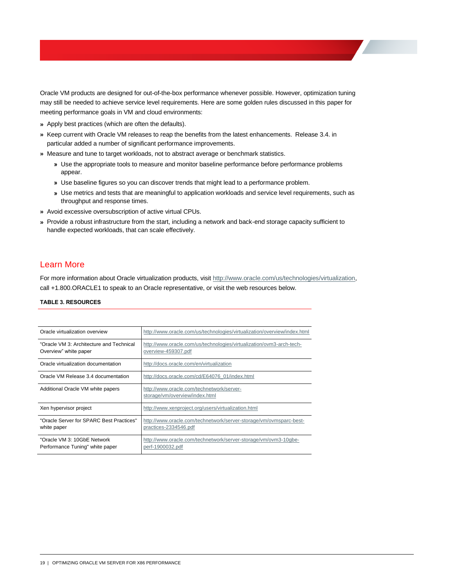Oracle VM products are designed for out-of-the-box performance whenever possible. However, optimization tuning may still be needed to achieve service level requirements. Here are some golden rules discussed in this paper for meeting performance goals in VM and cloud environments:

- **»** Apply best practices (which are often the defaults).
- **»** Keep current with Oracle VM releases to reap the benefits from the latest enhancements. Release 3.4. in particular added a number of significant performance improvements.
- **»** Measure and tune to target workloads, not to abstract average or benchmark statistics.
	- **»** Use the appropriate tools to measure and monitor baseline performance before performance problems appear.
	- **»** Use baseline figures so you can discover trends that might lead to a performance problem.
	- **»** Use metrics and tests that are meaningful to application workloads and service level requirements, such as throughput and response times.
- **»** Avoid excessive oversubscription of active virtual CPUs.
- **»** Provide a robust infrastructure from the start, including a network and back-end storage capacity sufficient to handle expected workloads, that can scale effectively.

### <span id="page-21-0"></span>Learn More

For more information about Oracle virtualization products, visit [http://www.oracle.com/us/technologies/virtualization,](http://www.oracle.com/us/technologies/virtualization) call +1.800.ORACLE1 to speak to an Oracle representative, or visit the web resources below.

#### **TABLE 3. RESOURCES**

| Oracle virtualization overview                                    | http://www.oracle.com/us/technologies/virtualization/overview/index.html                    |
|-------------------------------------------------------------------|---------------------------------------------------------------------------------------------|
| "Oracle VM 3: Architecture and Technical<br>Overview" white paper | http://www.oracle.com/us/technologies/virtualization/ovm3-arch-tech-<br>overview-459307.pdf |
| Oracle virtualization documentation                               | http://docs.oracle.com/en/virtualization                                                    |
| Oracle VM Release 3.4 documentation                               | http://docs.oracle.com/cd/E64076_01/index.html                                              |
| Additional Oracle VM white papers                                 | http://www.oracle.com/technetwork/server-<br>storage/vm/overview/index.html                 |
| Xen hypervisor project                                            | http://www.xenproject.org/users/virtualization.html                                         |
| "Oracle Server for SPARC Best Practices"<br>white paper           | http://www.oracle.com/technetwork/server-storage/vm/ovmsparc-best-<br>practices-2334546.pdf |
| "Oracle VM 3: 10GbE Network<br>Performance Tuning" white paper    | http://www.oracle.com/technetwork/server-storage/vm/ovm3-10gbe-<br>perf-1900032.pdf         |